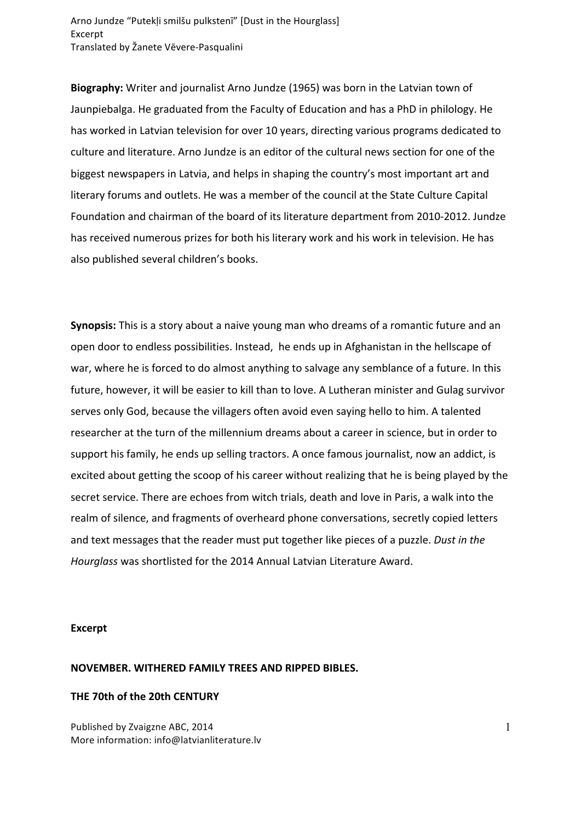Arno Jundze "Putekļi smilšu pulkstenī" [Dust in the Hourglass] Excerpt Translated by Žanete Vēvere-Pasqualini

**Biography:** Writer and journalist Arno Jundze (1965) was born in the Latvian town of Jaunpiebalga. He graduated from the Faculty of Education and has a PhD in philology. He has worked in Latvian television for over 10 years, directing various programs dedicated to culture and literature. Arno Jundze is an editor of the cultural news section for one of the biggest newspapers in Latvia, and helps in shaping the country's most important art and literary forums and outlets. He was a member of the council at the State Culture Capital Foundation and chairman of the board of its literature department from 2010-2012. Jundze has received numerous prizes for both his literary work and his work in television. He has also published several children's books.

**Synopsis:** This is a story about a naive young man who dreams of a romantic future and an open door to endless possibilities. Instead, he ends up in Afghanistan in the hellscape of war, where he is forced to do almost anything to salvage any semblance of a future. In this future, however, it will be easier to kill than to love. A Lutheran minister and Gulag survivor serves only God, because the villagers often avoid even saying hello to him. A talented researcher at the turn of the millennium dreams about a career in science, but in order to support his family, he ends up selling tractors. A once famous journalist, now an addict, is excited about getting the scoop of his career without realizing that he is being played by the secret service. There are echoes from witch trials, death and love in Paris, a walk into the realm of silence, and fragments of overheard phone conversations, secretly copied letters and text messages that the reader must put together like pieces of a puzzle. Dust in the Hourglass was shortlisted for the 2014 Annual Latvian Literature Award.

## **Excerpt**

### **NOVEMBER. WITHERED FAMILY TREES AND RIPPED BIBLES.**

#### **THE 70th of the 20th CENTURY**

Published by Zvaigzne ABC, 2014 More information: info@latvianliterature.lv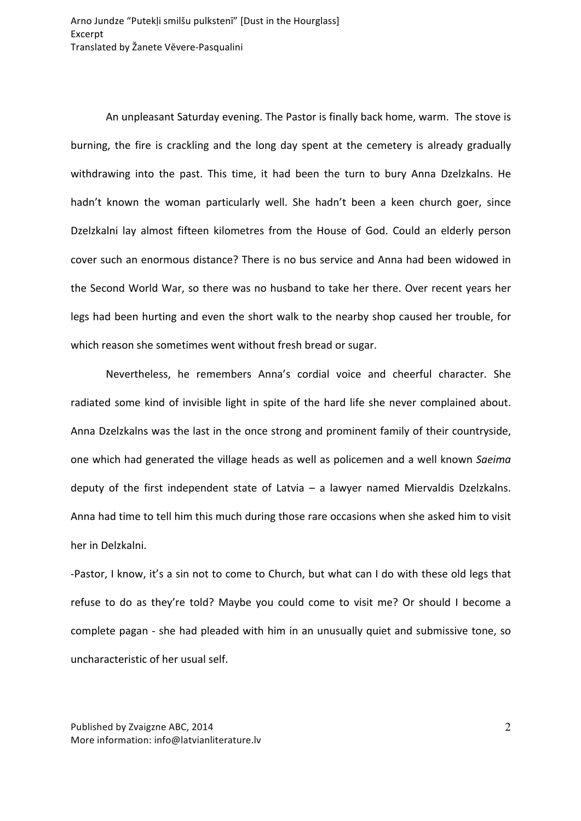An unpleasant Saturday evening. The Pastor is finally back home, warm. The stove is burning, the fire is crackling and the long day spent at the cemetery is already gradually withdrawing into the past. This time, it had been the turn to bury Anna Dzelzkalns. He hadn't known the woman particularly well. She hadn't been a keen church goer, since Dzelzkalni lay almost fifteen kilometres from the House of God. Could an elderly person cover such an enormous distance? There is no bus service and Anna had been widowed in the Second World War, so there was no husband to take her there. Over recent years her legs had been hurting and even the short walk to the nearby shop caused her trouble, for which reason she sometimes went without fresh bread or sugar.

Nevertheless, he remembers Anna's cordial voice and cheerful character. She radiated some kind of invisible light in spite of the hard life she never complained about. Anna Dzelzkalns was the last in the once strong and prominent family of their countryside, one which had generated the village heads as well as policemen and a well known *Saeima* deputy of the first independent state of Latvia  $-$  a lawyer named Miervaldis Dzelzkalns. Anna had time to tell him this much during those rare occasions when she asked him to visit her in Delzkalni.

-Pastor, I know, it's a sin not to come to Church, but what can I do with these old legs that refuse to do as they're told? Maybe you could come to visit me? Or should I become a complete pagan - she had pleaded with him in an unusually quiet and submissive tone, so uncharacteristic of her usual self.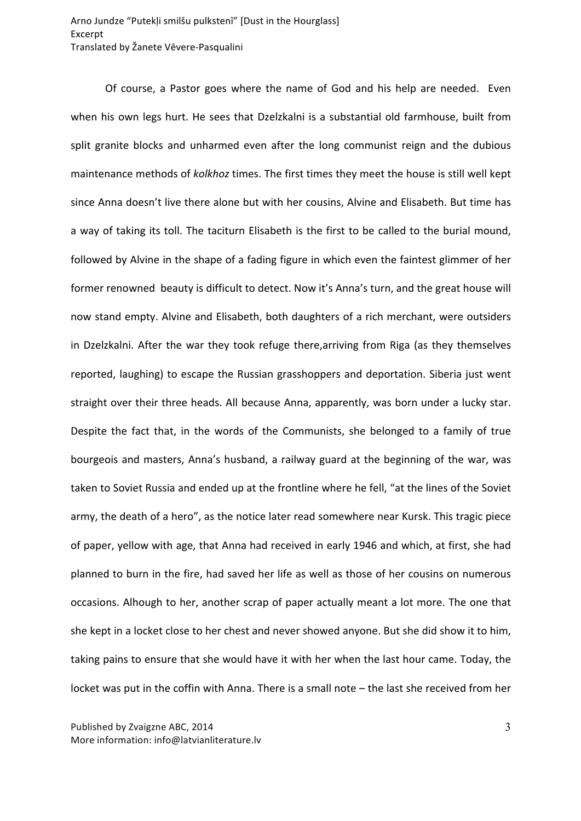Of course, a Pastor goes where the name of God and his help are needed. Even when his own legs hurt. He sees that Dzelzkalni is a substantial old farmhouse, built from split granite blocks and unharmed even after the long communist reign and the dubious maintenance methods of *kolkhoz* times. The first times they meet the house is still well kept since Anna doesn't live there alone but with her cousins, Alvine and Elisabeth. But time has a way of taking its toll. The taciturn Elisabeth is the first to be called to the burial mound, followed by Alvine in the shape of a fading figure in which even the faintest glimmer of her former renowned beauty is difficult to detect. Now it's Anna's turn, and the great house will now stand empty. Alvine and Elisabeth, both daughters of a rich merchant, were outsiders in Dzelzkalni. After the war they took refuge there, arriving from Riga (as they themselves reported, laughing) to escape the Russian grasshoppers and deportation. Siberia just went straight over their three heads. All because Anna, apparently, was born under a lucky star. Despite the fact that, in the words of the Communists, she belonged to a family of true bourgeois and masters, Anna's husband, a railway guard at the beginning of the war, was taken to Soviet Russia and ended up at the frontline where he fell, "at the lines of the Soviet army, the death of a hero", as the notice later read somewhere near Kursk. This tragic piece of paper, yellow with age, that Anna had received in early 1946 and which, at first, she had planned to burn in the fire, had saved her life as well as those of her cousins on numerous occasions. Alhough to her, another scrap of paper actually meant a lot more. The one that she kept in a locket close to her chest and never showed anyone. But she did show it to him, taking pains to ensure that she would have it with her when the last hour came. Today, the locket was put in the coffin with Anna. There is a small note – the last she received from her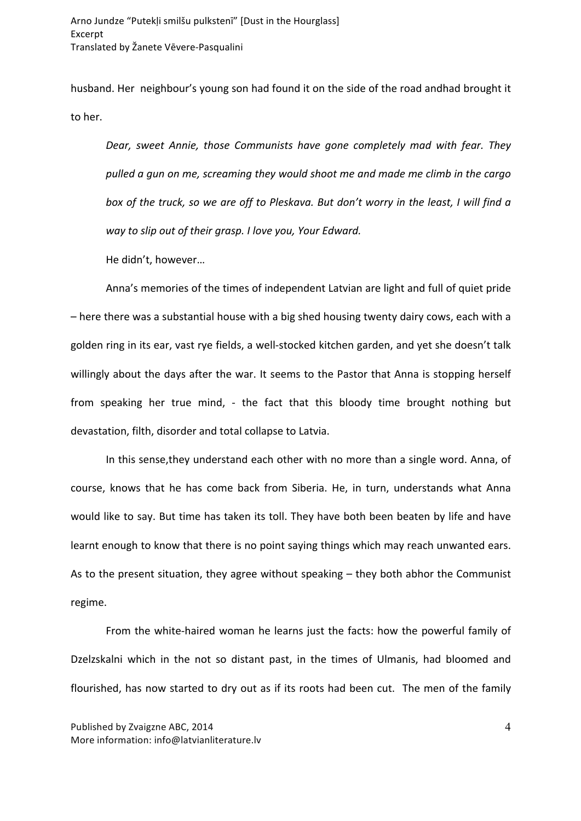husband. Her neighbour's young son had found it on the side of the road andhad brought it to her.

*Dear, sweet Annie, those Communists have gone completely mad with fear. They pulled a gun on me, screaming they would shoot me and made me climb in the cargo*  box of the truck, so we are off to Pleskava. But don't worry in the least, I will find a *way to slip out of their grasp. I love you, Your Edward.*

He didn't, however...

Anna's memories of the times of independent Latvian are light and full of quiet pride – here there was a substantial house with a big shed housing twenty dairy cows, each with a golden ring in its ear, vast rye fields, a well-stocked kitchen garden, and yet she doesn't talk willingly about the days after the war. It seems to the Pastor that Anna is stopping herself from speaking her true mind, - the fact that this bloody time brought nothing but devastation, filth, disorder and total collapse to Latvia.

In this sense, they understand each other with no more than a single word. Anna, of course, knows that he has come back from Siberia. He, in turn, understands what Anna would like to say. But time has taken its toll. They have both been beaten by life and have learnt enough to know that there is no point saying things which may reach unwanted ears. As to the present situation, they agree without speaking  $-$  they both abhor the Communist regime. 

From the white-haired woman he learns just the facts: how the powerful family of Dzelzskalni which in the not so distant past, in the times of Ulmanis, had bloomed and flourished, has now started to dry out as if its roots had been cut. The men of the family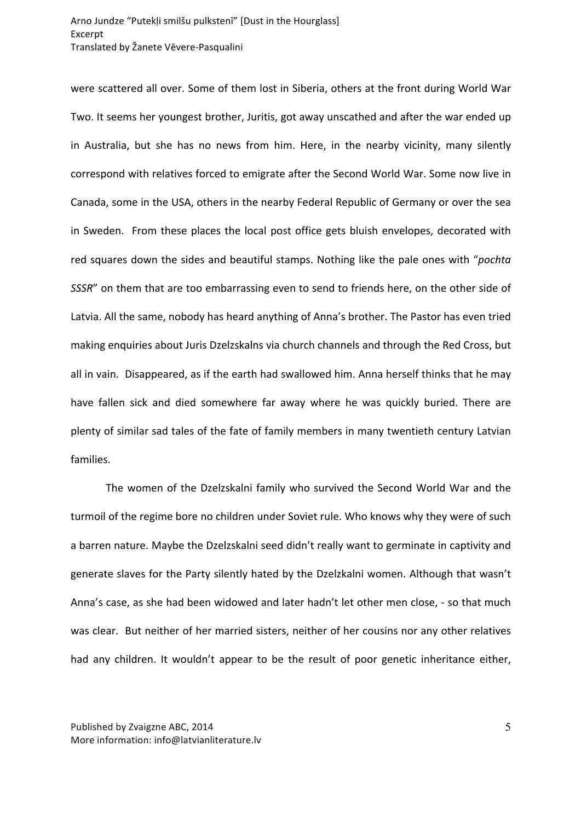were scattered all over. Some of them lost in Siberia, others at the front during World War Two. It seems her youngest brother, Juritis, got away unscathed and after the war ended up in Australia, but she has no news from him. Here, in the nearby vicinity, many silently correspond with relatives forced to emigrate after the Second World War. Some now live in Canada, some in the USA, others in the nearby Federal Republic of Germany or over the sea in Sweden. From these places the local post office gets bluish envelopes, decorated with red squares down the sides and beautiful stamps. Nothing like the pale ones with "*pochta SSSR*" on them that are too embarrassing even to send to friends here, on the other side of Latvia. All the same, nobody has heard anything of Anna's brother. The Pastor has even tried making enquiries about Juris Dzelzskalns via church channels and through the Red Cross, but all in vain. Disappeared, as if the earth had swallowed him. Anna herself thinks that he may have fallen sick and died somewhere far away where he was quickly buried. There are plenty of similar sad tales of the fate of family members in many twentieth century Latvian families. 

The women of the Dzelzskalni family who survived the Second World War and the turmoil of the regime bore no children under Soviet rule. Who knows why they were of such a barren nature. Maybe the Dzelzskalni seed didn't really want to germinate in captivity and generate slaves for the Party silently hated by the Dzelzkalni women. Although that wasn't Anna's case, as she had been widowed and later hadn't let other men close, - so that much was clear. But neither of her married sisters, neither of her cousins nor any other relatives had any children. It wouldn't appear to be the result of poor genetic inheritance either,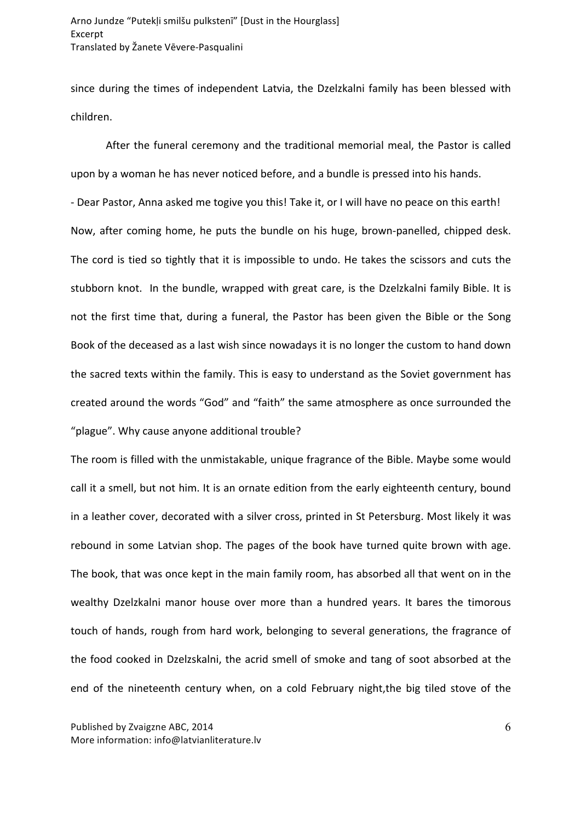since during the times of independent Latvia, the Dzelzkalni family has been blessed with children. 

After the funeral ceremony and the traditional memorial meal, the Pastor is called upon by a woman he has never noticed before, and a bundle is pressed into his hands. - Dear Pastor, Anna asked me togive you this! Take it, or I will have no peace on this earth! Now, after coming home, he puts the bundle on his huge, brown-panelled, chipped desk. The cord is tied so tightly that it is impossible to undo. He takes the scissors and cuts the stubborn knot. In the bundle, wrapped with great care, is the Dzelzkalni family Bible. It is not the first time that, during a funeral, the Pastor has been given the Bible or the Song Book of the deceased as a last wish since nowadays it is no longer the custom to hand down the sacred texts within the family. This is easy to understand as the Soviet government has created around the words "God" and "faith" the same atmosphere as once surrounded the "plague". Why cause anyone additional trouble?

The room is filled with the unmistakable, unique fragrance of the Bible. Maybe some would call it a smell, but not him. It is an ornate edition from the early eighteenth century, bound in a leather cover, decorated with a silver cross, printed in St Petersburg. Most likely it was rebound in some Latvian shop. The pages of the book have turned quite brown with age. The book, that was once kept in the main family room, has absorbed all that went on in the wealthy Dzelzkalni manor house over more than a hundred years. It bares the timorous touch of hands, rough from hard work, belonging to several generations, the fragrance of the food cooked in Dzelzskalni, the acrid smell of smoke and tang of soot absorbed at the end of the nineteenth century when, on a cold February night, the big tiled stove of the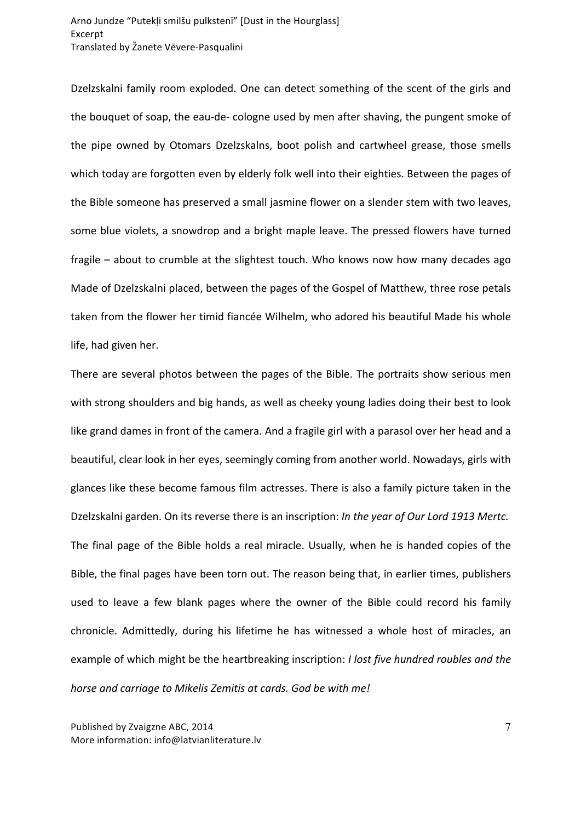Dzelzskalni family room exploded. One can detect something of the scent of the girls and the bouquet of soap, the eau-de- cologne used by men after shaving, the pungent smoke of the pipe owned by Otomars Dzelzskalns, boot polish and cartwheel grease, those smells which today are forgotten even by elderly folk well into their eighties. Between the pages of the Bible someone has preserved a small jasmine flower on a slender stem with two leaves, some blue violets, a snowdrop and a bright maple leave. The pressed flowers have turned fragile  $-$  about to crumble at the slightest touch. Who knows now how many decades ago Made of Dzelzskalni placed, between the pages of the Gospel of Matthew, three rose petals taken from the flower her timid fiancée Wilhelm, who adored his beautiful Made his whole life, had given her.

There are several photos between the pages of the Bible. The portraits show serious men with strong shoulders and big hands, as well as cheeky young ladies doing their best to look like grand dames in front of the camera. And a fragile girl with a parasol over her head and a beautiful, clear look in her eyes, seemingly coming from another world. Nowadays, girls with glances like these become famous film actresses. There is also a family picture taken in the Dzelzskalni garden. On its reverse there is an inscription: In the year of Our Lord 1913 Mertc. The final page of the Bible holds a real miracle. Usually, when he is handed copies of the Bible, the final pages have been torn out. The reason being that, in earlier times, publishers used to leave a few blank pages where the owner of the Bible could record his family chronicle. Admittedly, during his lifetime he has witnessed a whole host of miracles, an example of which might be the heartbreaking inscription: *I lost five hundred roubles and the horse and carriage to Mikelis Zemitis at cards. God be with me!*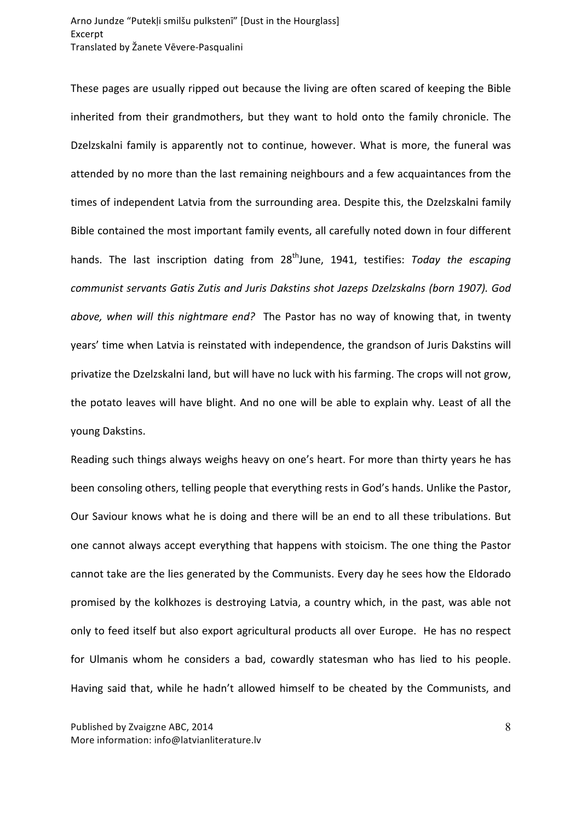These pages are usually ripped out because the living are often scared of keeping the Bible inherited from their grandmothers, but they want to hold onto the family chronicle. The Dzelzskalni family is apparently not to continue, however. What is more, the funeral was attended by no more than the last remaining neighbours and a few acquaintances from the times of independent Latvia from the surrounding area. Despite this, the Dzelzskalni family Bible contained the most important family events, all carefully noted down in four different hands. The last inscription dating from 28<sup>th</sup>June, 1941, testifies: *Today the escaping communist servants Gatis Zutis and Juris Dakstins shot Jazeps Dzelzskalns (born 1907). God above, when will this nightmare end?* The Pastor has no way of knowing that, in twenty years' time when Latvia is reinstated with independence, the grandson of Juris Dakstins will privatize the Dzelzskalni land, but will have no luck with his farming. The crops will not grow, the potato leaves will have blight. And no one will be able to explain why. Least of all the young Dakstins.

Reading such things always weighs heavy on one's heart. For more than thirty years he has been consoling others, telling people that everything rests in God's hands. Unlike the Pastor, Our Saviour knows what he is doing and there will be an end to all these tribulations. But one cannot always accept everything that happens with stoicism. The one thing the Pastor cannot take are the lies generated by the Communists. Every day he sees how the Eldorado promised by the kolkhozes is destroying Latvia, a country which, in the past, was able not only to feed itself but also export agricultural products all over Europe. He has no respect for Ulmanis whom he considers a bad, cowardly statesman who has lied to his people. Having said that, while he hadn't allowed himself to be cheated by the Communists, and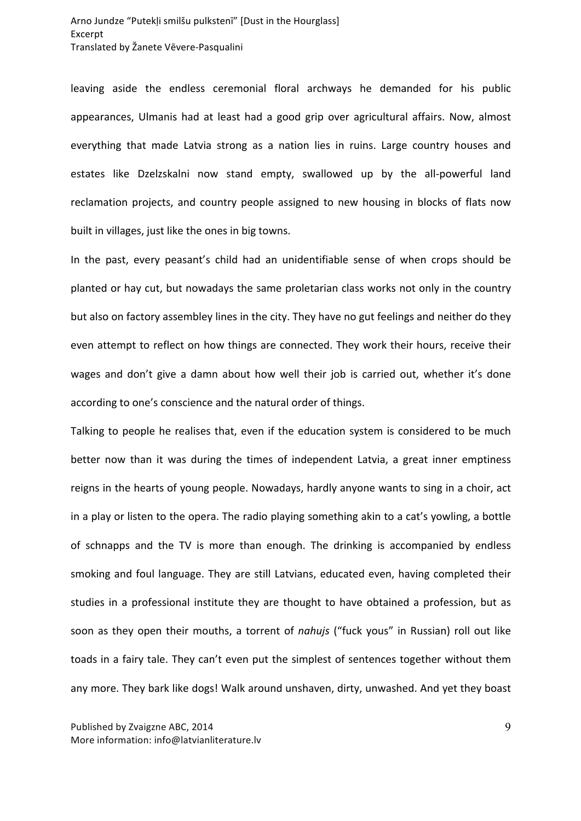leaving aside the endless ceremonial floral archways he demanded for his public appearances, Ulmanis had at least had a good grip over agricultural affairs. Now, almost everything that made Latvia strong as a nation lies in ruins. Large country houses and estates like Dzelzskalni now stand empty, swallowed up by the all-powerful land reclamation projects, and country people assigned to new housing in blocks of flats now built in villages, just like the ones in big towns.

In the past, every peasant's child had an unidentifiable sense of when crops should be planted or hay cut, but nowadays the same proletarian class works not only in the country but also on factory assembley lines in the city. They have no gut feelings and neither do they even attempt to reflect on how things are connected. They work their hours, receive their wages and don't give a damn about how well their job is carried out, whether it's done according to one's conscience and the natural order of things.

Talking to people he realises that, even if the education system is considered to be much better now than it was during the times of independent Latvia, a great inner emptiness reigns in the hearts of young people. Nowadays, hardly anyone wants to sing in a choir, act in a play or listen to the opera. The radio playing something akin to a cat's yowling, a bottle of schnapps and the TV is more than enough. The drinking is accompanied by endless smoking and foul language. They are still Latvians, educated even, having completed their studies in a professional institute they are thought to have obtained a profession, but as soon as they open their mouths, a torrent of *nahujs* ("fuck yous" in Russian) roll out like toads in a fairy tale. They can't even put the simplest of sentences together without them any more. They bark like dogs! Walk around unshaven, dirty, unwashed. And yet they boast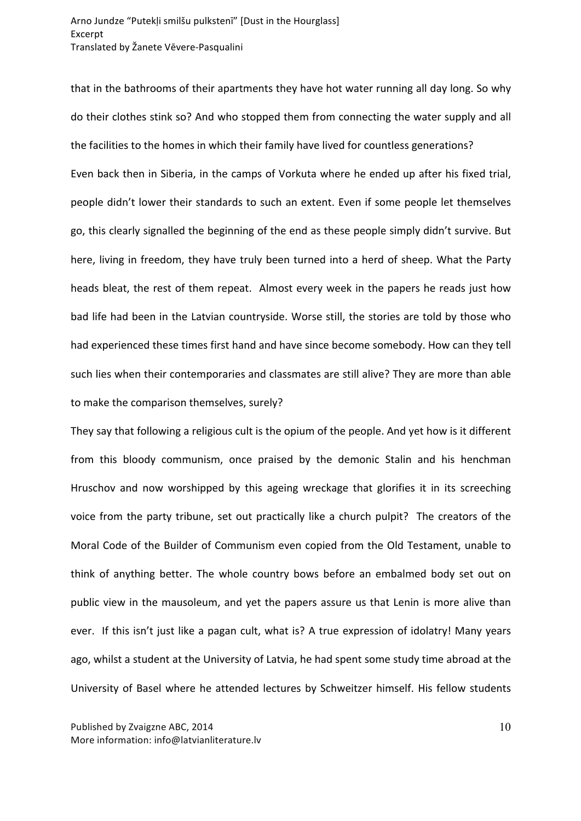that in the bathrooms of their apartments they have hot water running all day long. So why do their clothes stink so? And who stopped them from connecting the water supply and all the facilities to the homes in which their family have lived for countless generations? Even back then in Siberia, in the camps of Vorkuta where he ended up after his fixed trial, people didn't lower their standards to such an extent. Even if some people let themselves go, this clearly signalled the beginning of the end as these people simply didn't survive. But here, living in freedom, they have truly been turned into a herd of sheep. What the Party heads bleat, the rest of them repeat. Almost every week in the papers he reads just how bad life had been in the Latvian countryside. Worse still, the stories are told by those who had experienced these times first hand and have since become somebody. How can they tell such lies when their contemporaries and classmates are still alive? They are more than able to make the comparison themselves, surely?

They say that following a religious cult is the opium of the people. And yet how is it different from this bloody communism, once praised by the demonic Stalin and his henchman Hruschov and now worshipped by this ageing wreckage that glorifies it in its screeching voice from the party tribune, set out practically like a church pulpit? The creators of the Moral Code of the Builder of Communism even copied from the Old Testament, unable to think of anything better. The whole country bows before an embalmed body set out on public view in the mausoleum, and yet the papers assure us that Lenin is more alive than ever. If this isn't just like a pagan cult, what is? A true expression of idolatry! Many years ago, whilst a student at the University of Latvia, he had spent some study time abroad at the University of Basel where he attended lectures by Schweitzer himself. His fellow students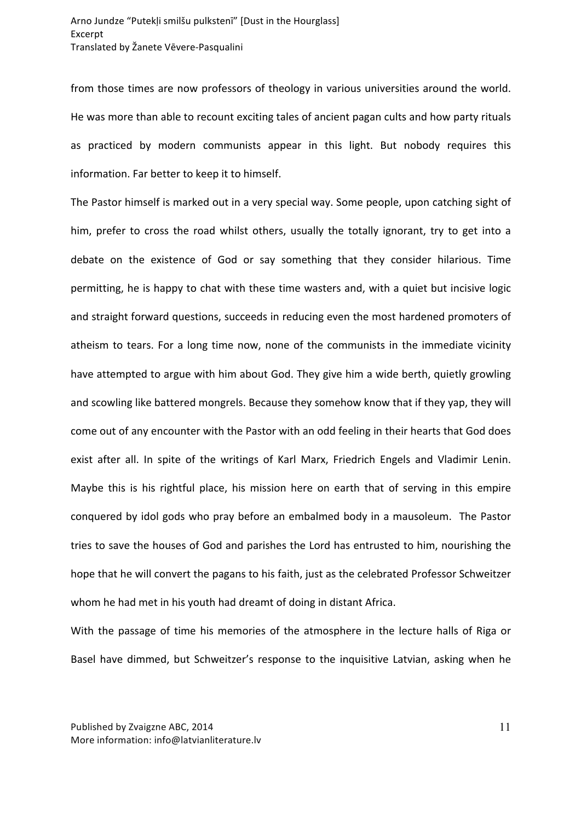from those times are now professors of theology in various universities around the world. He was more than able to recount exciting tales of ancient pagan cults and how party rituals as practiced by modern communists appear in this light. But nobody requires this information. Far better to keep it to himself.

The Pastor himself is marked out in a very special way. Some people, upon catching sight of him, prefer to cross the road whilst others, usually the totally ignorant, try to get into a debate on the existence of God or say something that they consider hilarious. Time permitting, he is happy to chat with these time wasters and, with a quiet but incisive logic and straight forward questions, succeeds in reducing even the most hardened promoters of atheism to tears. For a long time now, none of the communists in the immediate vicinity have attempted to argue with him about God. They give him a wide berth, quietly growling and scowling like battered mongrels. Because they somehow know that if they yap, they will come out of any encounter with the Pastor with an odd feeling in their hearts that God does exist after all. In spite of the writings of Karl Marx, Friedrich Engels and Vladimir Lenin. Maybe this is his rightful place, his mission here on earth that of serving in this empire conquered by idol gods who pray before an embalmed body in a mausoleum. The Pastor tries to save the houses of God and parishes the Lord has entrusted to him, nourishing the hope that he will convert the pagans to his faith, just as the celebrated Professor Schweitzer whom he had met in his youth had dreamt of doing in distant Africa.

With the passage of time his memories of the atmosphere in the lecture halls of Riga or Basel have dimmed, but Schweitzer's response to the inquisitive Latvian, asking when he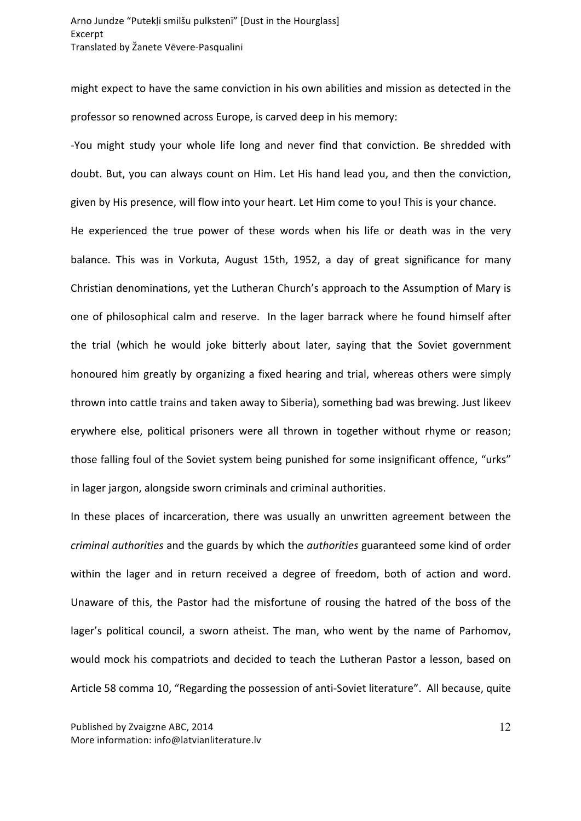might expect to have the same conviction in his own abilities and mission as detected in the professor so renowned across Europe, is carved deep in his memory:

-You might study your whole life long and never find that conviction. Be shredded with doubt. But, you can always count on Him. Let His hand lead you, and then the conviction, given by His presence, will flow into your heart. Let Him come to you! This is your chance.

He experienced the true power of these words when his life or death was in the very balance. This was in Vorkuta, August 15th, 1952, a day of great significance for many Christian denominations, yet the Lutheran Church's approach to the Assumption of Mary is one of philosophical calm and reserve. In the lager barrack where he found himself after the trial (which he would joke bitterly about later, saying that the Soviet government honoured him greatly by organizing a fixed hearing and trial, whereas others were simply thrown into cattle trains and taken away to Siberia), something bad was brewing. Just likeev erywhere else, political prisoners were all thrown in together without rhyme or reason; those falling foul of the Soviet system being punished for some insignificant offence, "urks" in lager jargon, alongside sworn criminals and criminal authorities.

In these places of incarceration, there was usually an unwritten agreement between the *criminal authorities* and the guards by which the *authorities* guaranteed some kind of order within the lager and in return received a degree of freedom, both of action and word. Unaware of this, the Pastor had the misfortune of rousing the hatred of the boss of the lager's political council, a sworn atheist. The man, who went by the name of Parhomov, would mock his compatriots and decided to teach the Lutheran Pastor a lesson, based on Article 58 comma 10, "Regarding the possession of anti-Soviet literature". All because, quite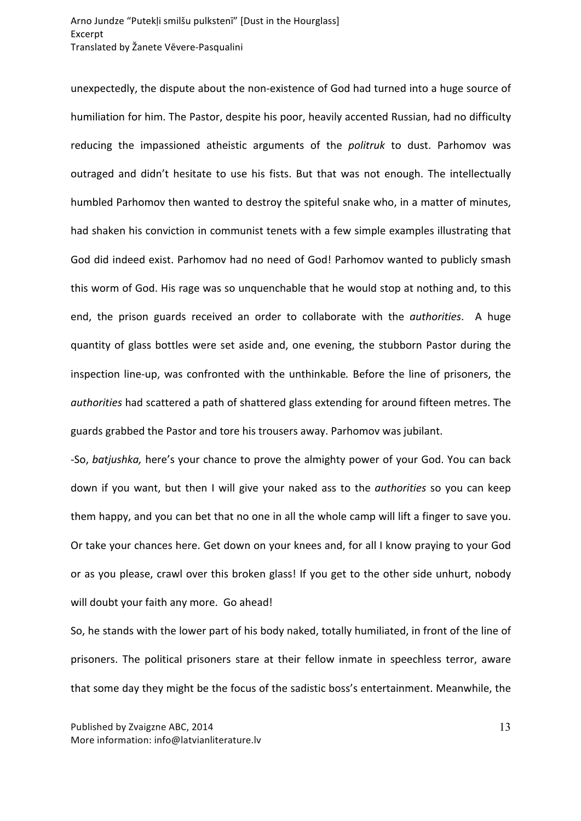unexpectedly, the dispute about the non-existence of God had turned into a huge source of humiliation for him. The Pastor, despite his poor, heavily accented Russian, had no difficulty reducing the impassioned atheistic arguments of the *politruk* to dust. Parhomov was outraged and didn't hesitate to use his fists. But that was not enough. The intellectually humbled Parhomov then wanted to destroy the spiteful snake who, in a matter of minutes, had shaken his conviction in communist tenets with a few simple examples illustrating that God did indeed exist. Parhomov had no need of God! Parhomov wanted to publicly smash this worm of God. His rage was so unquenchable that he would stop at nothing and, to this end, the prison guards received an order to collaborate with the *authorities*. A huge quantity of glass bottles were set aside and, one evening, the stubborn Pastor during the inspection line-up, was confronted with the unthinkable. Before the line of prisoners, the *authorities* had scattered a path of shattered glass extending for around fifteen metres. The guards grabbed the Pastor and tore his trousers away. Parhomov was jubilant.

-So, *batjushka*, here's your chance to prove the almighty power of your God. You can back down if you want, but then I will give your naked ass to the *authorities* so you can keep them happy, and you can bet that no one in all the whole camp will lift a finger to save you. Or take your chances here. Get down on your knees and, for all I know praying to your God or as you please, crawl over this broken glass! If you get to the other side unhurt, nobody will doubt your faith any more. Go ahead!

So, he stands with the lower part of his body naked, totally humiliated, in front of the line of prisoners. The political prisoners stare at their fellow inmate in speechless terror, aware that some day they might be the focus of the sadistic boss's entertainment. Meanwhile, the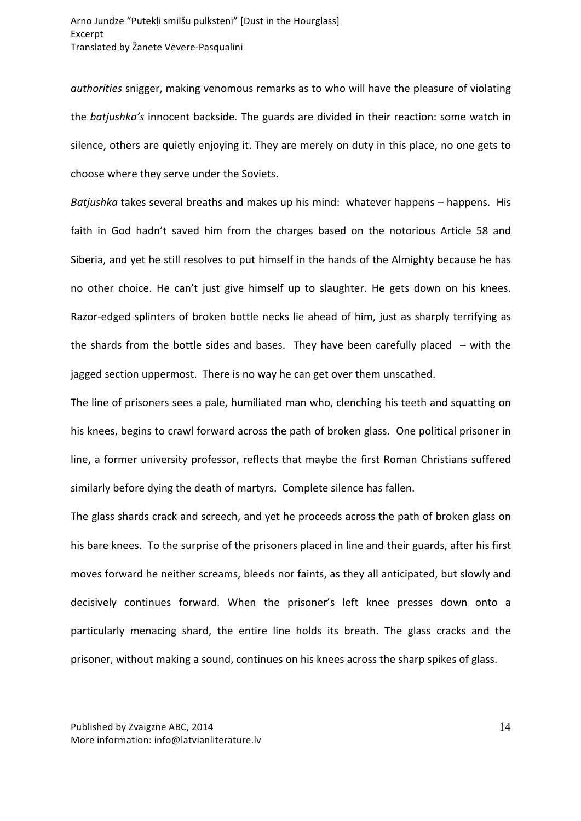*authorities* snigger, making venomous remarks as to who will have the pleasure of violating the *batjushka's* innocent backside. The guards are divided in their reaction: some watch in silence, others are quietly enjoying it. They are merely on duty in this place, no one gets to choose where they serve under the Soviets.

*Batjushka* takes several breaths and makes up his mind: whatever happens – happens. His faith in God hadn't saved him from the charges based on the notorious Article 58 and Siberia, and yet he still resolves to put himself in the hands of the Almighty because he has no other choice. He can't just give himself up to slaughter. He gets down on his knees. Razor-edged splinters of broken bottle necks lie ahead of him, just as sharply terrifying as the shards from the bottle sides and bases. They have been carefully placed  $-$  with the jagged section uppermost. There is no way he can get over them unscathed.

The line of prisoners sees a pale, humiliated man who, clenching his teeth and squatting on his knees, begins to crawl forward across the path of broken glass. One political prisoner in line, a former university professor, reflects that maybe the first Roman Christians suffered similarly before dying the death of martyrs. Complete silence has fallen.

The glass shards crack and screech, and yet he proceeds across the path of broken glass on his bare knees. To the surprise of the prisoners placed in line and their guards, after his first moves forward he neither screams, bleeds nor faints, as they all anticipated, but slowly and decisively continues forward. When the prisoner's left knee presses down onto a particularly menacing shard, the entire line holds its breath. The glass cracks and the prisoner, without making a sound, continues on his knees across the sharp spikes of glass.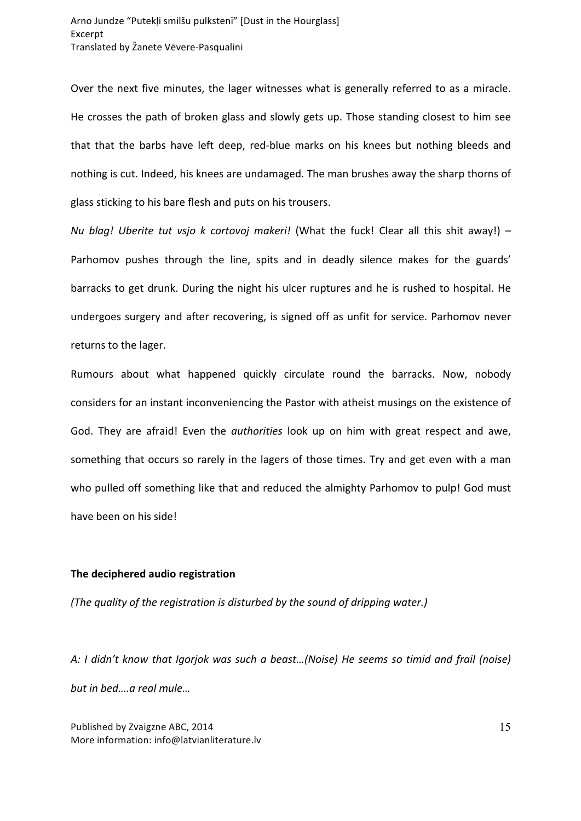Over the next five minutes, the lager witnesses what is generally referred to as a miracle. He crosses the path of broken glass and slowly gets up. Those standing closest to him see that that the barbs have left deep, red-blue marks on his knees but nothing bleeds and nothing is cut. Indeed, his knees are undamaged. The man brushes away the sharp thorns of glass sticking to his bare flesh and puts on his trousers.

*Nu* blag! Uberite tut vsjo k cortovoj makeri! (What the fuck! Clear all this shit away!) – Parhomov pushes through the line, spits and in deadly silence makes for the guards' barracks to get drunk. During the night his ulcer ruptures and he is rushed to hospital. He undergoes surgery and after recovering, is signed off as unfit for service. Parhomov never returns to the lager.

Rumours about what happened quickly circulate round the barracks. Now, nobody considers for an instant inconveniencing the Pastor with atheist musings on the existence of God. They are afraid! Even the *authorities* look up on him with great respect and awe, something that occurs so rarely in the lagers of those times. Try and get even with a man who pulled off something like that and reduced the almighty Parhomov to pulp! God must have been on his side!

## **The deciphered audio registration**

*(The quality of the registration is disturbed by the sound of dripping water.)* 

A: I didn't know that Igorjok was such a beast...(Noise) He seems so timid and frail (noise) but in bed....a real mule...

Published by Zvaigzne ABC, 2014 More information: info@latvianliterature.lv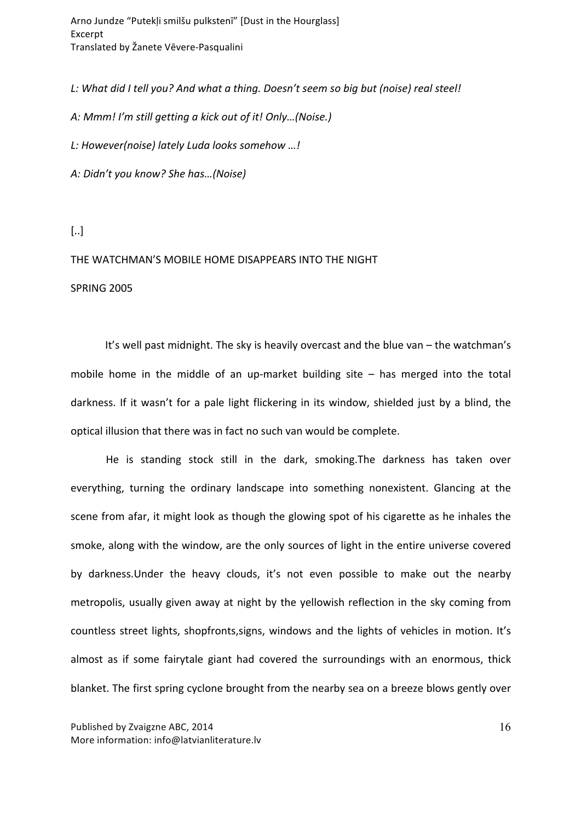Arno Jundze "Putekļi smilšu pulkstenī" [Dust in the Hourglass] Excerpt Translated by Žanete Vēvere-Pasqualini

L: What did I tell you? And what a thing. Doesn't seem so big but (noise) real steel!

*A: Mmm! I'm still getting a kick out of it! Only…(Noise.)*

*L: However(noise) lately Luda looks somehow …!*

*A: Didn't you know? She has…(Noise)*

[..]

# THE WATCHMAN'S MOBILE HOME DISAPPEARS INTO THE NIGHT

#### **SPRING 2005**

It's well past midnight. The sky is heavily overcast and the blue van  $-$  the watchman's mobile home in the middle of an up-market building site  $-$  has merged into the total darkness. If it wasn't for a pale light flickering in its window, shielded just by a blind, the optical illusion that there was in fact no such van would be complete.

He is standing stock still in the dark, smoking. The darkness has taken over everything, turning the ordinary landscape into something nonexistent. Glancing at the scene from afar, it might look as though the glowing spot of his cigarette as he inhales the smoke, along with the window, are the only sources of light in the entire universe covered by darkness. Under the heavy clouds, it's not even possible to make out the nearby metropolis, usually given away at night by the yellowish reflection in the sky coming from countless street lights, shopfronts, signs, windows and the lights of vehicles in motion. It's almost as if some fairytale giant had covered the surroundings with an enormous, thick blanket. The first spring cyclone brought from the nearby sea on a breeze blows gently over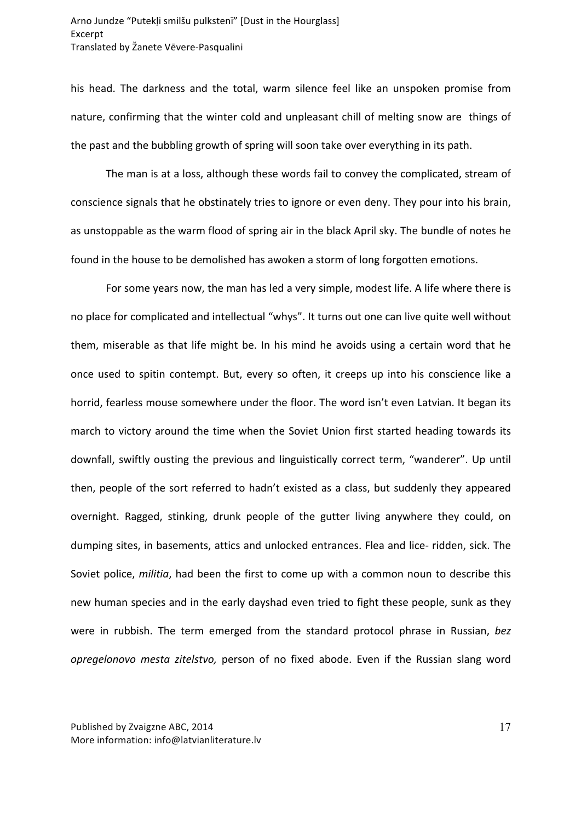his head. The darkness and the total, warm silence feel like an unspoken promise from nature, confirming that the winter cold and unpleasant chill of melting snow are things of the past and the bubbling growth of spring will soon take over everything in its path.

The man is at a loss, although these words fail to convey the complicated, stream of conscience signals that he obstinately tries to ignore or even deny. They pour into his brain, as unstoppable as the warm flood of spring air in the black April sky. The bundle of notes he found in the house to be demolished has awoken a storm of long forgotten emotions.

For some years now, the man has led a very simple, modest life. A life where there is no place for complicated and intellectual "whys". It turns out one can live quite well without them, miserable as that life might be. In his mind he avoids using a certain word that he once used to spitin contempt. But, every so often, it creeps up into his conscience like a horrid, fearless mouse somewhere under the floor. The word isn't even Latvian. It began its march to victory around the time when the Soviet Union first started heading towards its downfall, swiftly ousting the previous and linguistically correct term, "wanderer". Up until then, people of the sort referred to hadn't existed as a class, but suddenly they appeared overnight. Ragged, stinking, drunk people of the gutter living anywhere they could, on dumping sites, in basements, attics and unlocked entrances. Flea and lice- ridden, sick. The Soviet police, *militia*, had been the first to come up with a common noun to describe this new human species and in the early dayshad even tried to fight these people, sunk as they were in rubbish. The term emerged from the standard protocol phrase in Russian, bez *opregelonovo mesta zitelstvo*, person of no fixed abode. Even if the Russian slang word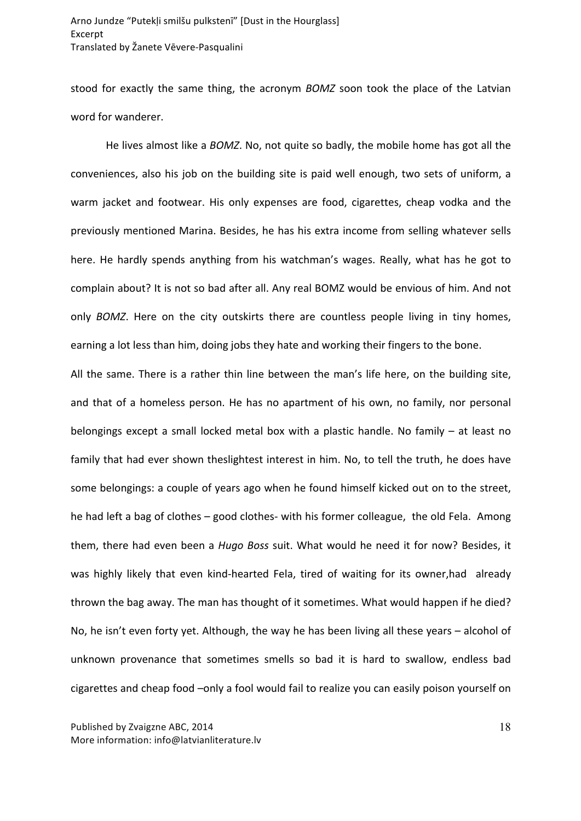stood for exactly the same thing, the acronym *BOMZ* soon took the place of the Latvian word for wanderer.

He lives almost like a *BOMZ*. No, not quite so badly, the mobile home has got all the conveniences, also his job on the building site is paid well enough, two sets of uniform, a warm jacket and footwear. His only expenses are food, cigarettes, cheap vodka and the previously mentioned Marina. Besides, he has his extra income from selling whatever sells here. He hardly spends anything from his watchman's wages. Really, what has he got to complain about? It is not so bad after all. Any real BOMZ would be envious of him. And not only *BOMZ*. Here on the city outskirts there are countless people living in tiny homes, earning a lot less than him, doing jobs they hate and working their fingers to the bone.

All the same. There is a rather thin line between the man's life here, on the building site, and that of a homeless person. He has no apartment of his own, no family, nor personal belongings except a small locked metal box with a plastic handle. No family - at least no family that had ever shown theslightest interest in him. No, to tell the truth, he does have some belongings: a couple of years ago when he found himself kicked out on to the street, he had left a bag of clothes  $-$  good clothes- with his former colleague, the old Fela. Among them, there had even been a *Hugo Boss* suit. What would he need it for now? Besides, it was highly likely that even kind-hearted Fela, tired of waiting for its owner,had already thrown the bag away. The man has thought of it sometimes. What would happen if he died? No, he isn't even forty yet. Although, the way he has been living all these years  $-$  alcohol of unknown provenance that sometimes smells so bad it is hard to swallow, endless bad cigarettes and cheap food -only a fool would fail to realize you can easily poison yourself on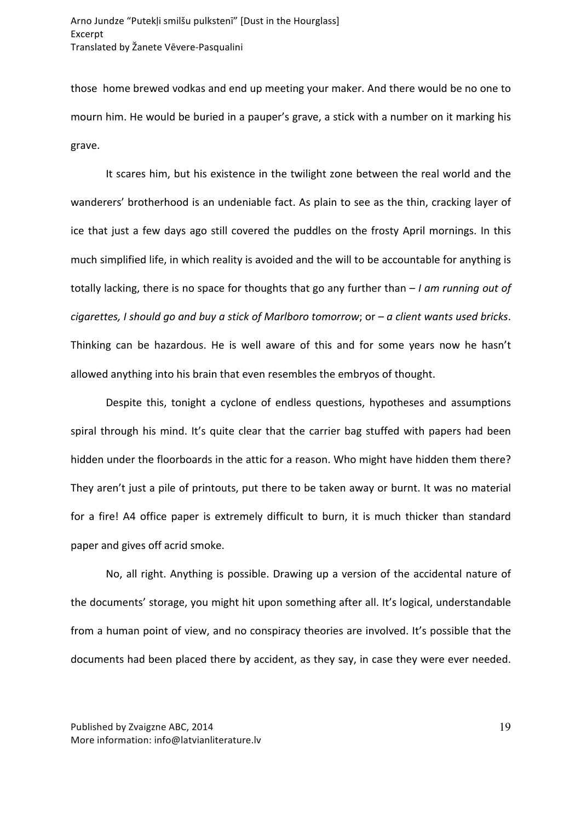those home brewed vodkas and end up meeting your maker. And there would be no one to mourn him. He would be buried in a pauper's grave, a stick with a number on it marking his grave.

It scares him, but his existence in the twilight zone between the real world and the wanderers' brotherhood is an undeniable fact. As plain to see as the thin, cracking layer of ice that just a few days ago still covered the puddles on the frosty April mornings. In this much simplified life, in which reality is avoided and the will to be accountable for anything is totally lacking, there is no space for thoughts that go any further than  $-I$  *am running out of cigarettes, I should go and buy a stick of Marlboro tomorrow;* or – *a client wants used bricks.* Thinking can be hazardous. He is well aware of this and for some years now he hasn't allowed anything into his brain that even resembles the embryos of thought.

Despite this, tonight a cyclone of endless questions, hypotheses and assumptions spiral through his mind. It's quite clear that the carrier bag stuffed with papers had been hidden under the floorboards in the attic for a reason. Who might have hidden them there? They aren't just a pile of printouts, put there to be taken away or burnt. It was no material for a fire! A4 office paper is extremely difficult to burn, it is much thicker than standard paper and gives off acrid smoke.

No, all right. Anything is possible. Drawing up a version of the accidental nature of the documents' storage, you might hit upon something after all. It's logical, understandable from a human point of view, and no conspiracy theories are involved. It's possible that the documents had been placed there by accident, as they say, in case they were ever needed.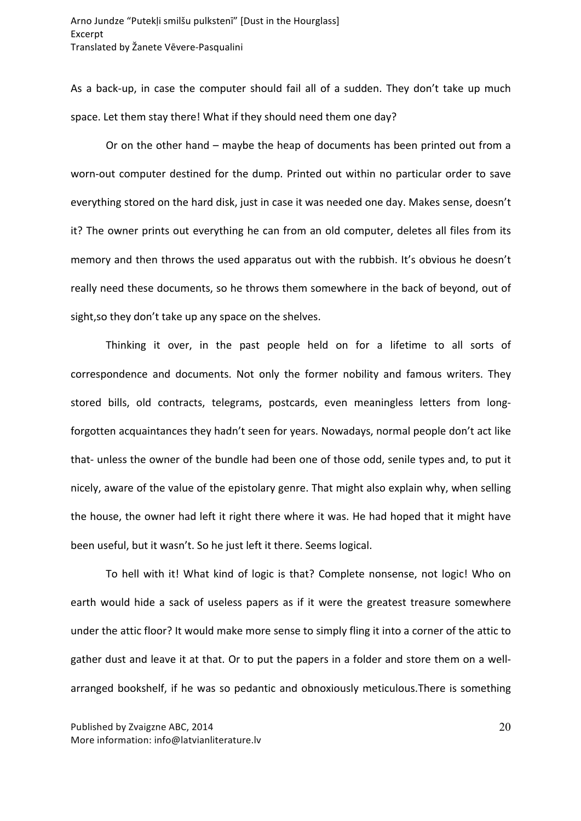As a back-up, in case the computer should fail all of a sudden. They don't take up much space. Let them stay there! What if they should need them one day?

Or on the other hand – maybe the heap of documents has been printed out from a worn-out computer destined for the dump. Printed out within no particular order to save everything stored on the hard disk, just in case it was needed one day. Makes sense, doesn't it? The owner prints out everything he can from an old computer, deletes all files from its memory and then throws the used apparatus out with the rubbish. It's obvious he doesn't really need these documents, so he throws them somewhere in the back of beyond, out of sight, so they don't take up any space on the shelves.

Thinking it over, in the past people held on for a lifetime to all sorts of correspondence and documents. Not only the former nobility and famous writers. They stored bills, old contracts, telegrams, postcards, even meaningless letters from longforgotten acquaintances they hadn't seen for years. Nowadays, normal people don't act like that- unless the owner of the bundle had been one of those odd, senile types and, to put it nicely, aware of the value of the epistolary genre. That might also explain why, when selling the house, the owner had left it right there where it was. He had hoped that it might have been useful, but it wasn't. So he just left it there. Seems logical.

To hell with it! What kind of logic is that? Complete nonsense, not logic! Who on earth would hide a sack of useless papers as if it were the greatest treasure somewhere under the attic floor? It would make more sense to simply fling it into a corner of the attic to gather dust and leave it at that. Or to put the papers in a folder and store them on a wellarranged bookshelf, if he was so pedantic and obnoxiously meticulous. There is something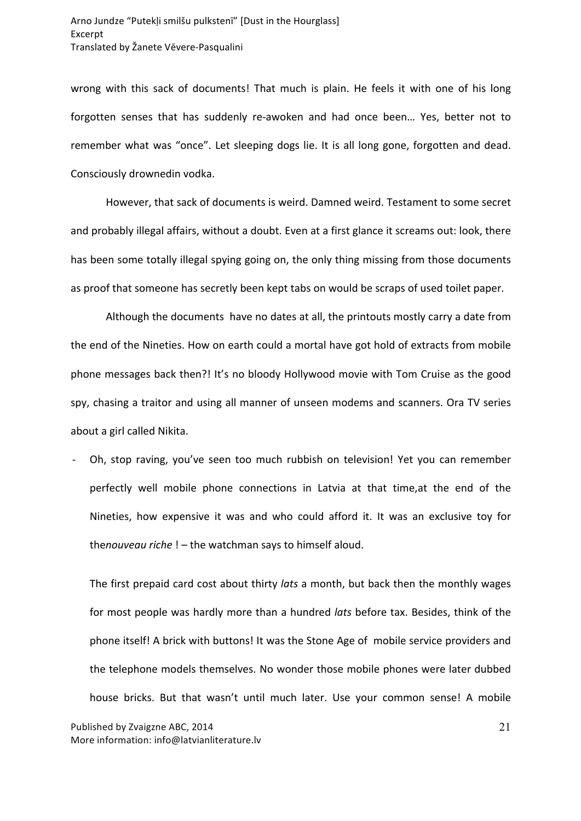wrong with this sack of documents! That much is plain. He feels it with one of his long forgotten senses that has suddenly re-awoken and had once been... Yes, better not to remember what was "once". Let sleeping dogs lie. It is all long gone, forgotten and dead. Consciously drownedin vodka.

However, that sack of documents is weird. Damned weird. Testament to some secret and probably illegal affairs, without a doubt. Even at a first glance it screams out: look, there has been some totally illegal spying going on, the only thing missing from those documents as proof that someone has secretly been kept tabs on would be scraps of used toilet paper.

Although the documents have no dates at all, the printouts mostly carry a date from the end of the Nineties. How on earth could a mortal have got hold of extracts from mobile phone messages back then?! It's no bloody Hollywood movie with Tom Cruise as the good spy, chasing a traitor and using all manner of unseen modems and scanners. Ora TV series about a girl called Nikita.

Oh, stop raving, you've seen too much rubbish on television! Yet you can remember perfectly well mobile phone connections in Latvia at that time, at the end of the Nineties, how expensive it was and who could afford it. It was an exclusive toy for thenouveau riche ! – the watchman says to himself aloud.

The first prepaid card cost about thirty *lats* a month, but back then the monthly wages for most people was hardly more than a hundred *lats* before tax. Besides, think of the phone itself! A brick with buttons! It was the Stone Age of mobile service providers and the telephone models themselves. No wonder those mobile phones were later dubbed house bricks. But that wasn't until much later. Use your common sense! A mobile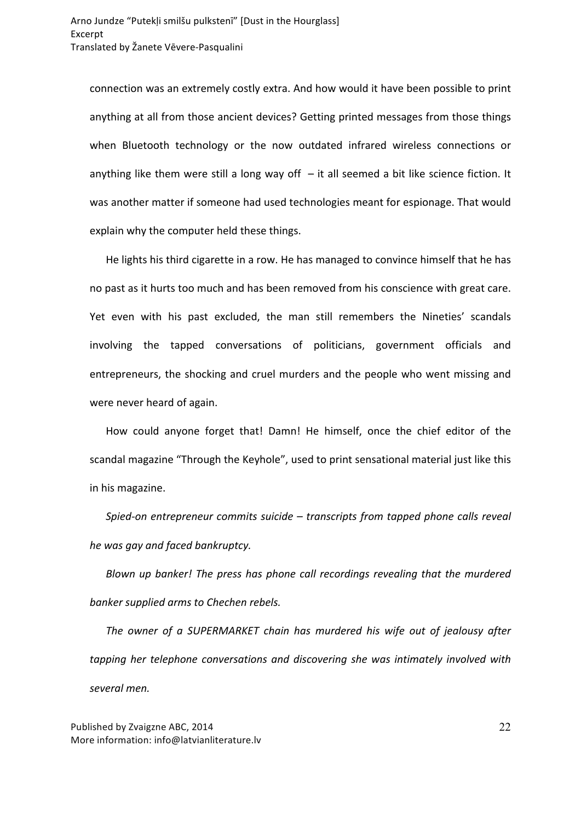connection was an extremely costly extra. And how would it have been possible to print anything at all from those ancient devices? Getting printed messages from those things when Bluetooth technology or the now outdated infrared wireless connections or anything like them were still a long way off  $-$  it all seemed a bit like science fiction. It was another matter if someone had used technologies meant for espionage. That would explain why the computer held these things.

He lights his third cigarette in a row. He has managed to convince himself that he has no past as it hurts too much and has been removed from his conscience with great care. Yet even with his past excluded, the man still remembers the Nineties' scandals involving the tapped conversations of politicians, government officials and entrepreneurs, the shocking and cruel murders and the people who went missing and were never heard of again.

How could anyone forget that! Damn! He himself, once the chief editor of the scandal magazine "Through the Keyhole", used to print sensational material just like this in his magazine.

Spied-on entrepreneur commits suicide – transcripts from tapped phone calls reveal *he* was gay and faced bankruptcy.

*Blown up banker!* The press has phone call recordings revealing that the murdered banker supplied arms to Chechen rebels.

The owner of a SUPERMARKET chain has murdered his wife out of jealousy after tapping her telephone conversations and discovering she was intimately involved with *several men.*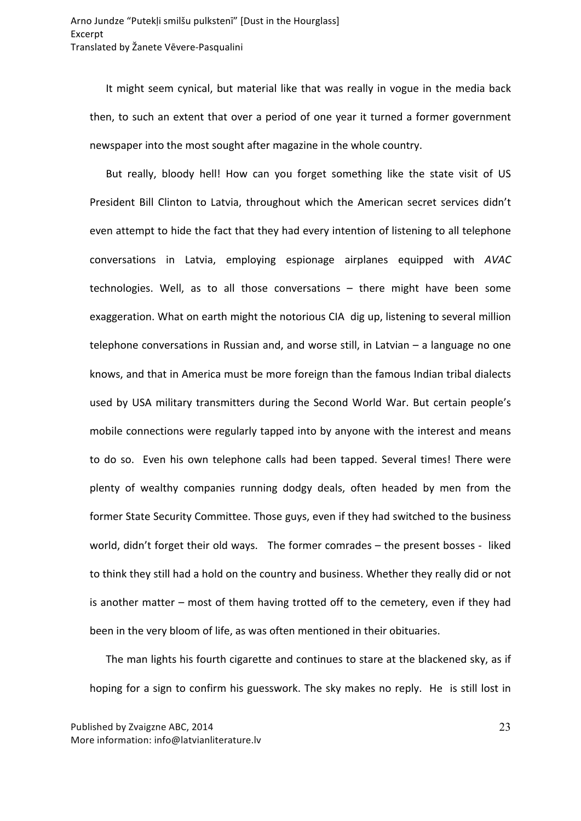It might seem cynical, but material like that was really in vogue in the media back then, to such an extent that over a period of one year it turned a former government newspaper into the most sought after magazine in the whole country.

But really, bloody hell! How can you forget something like the state visit of US President Bill Clinton to Latvia, throughout which the American secret services didn't even attempt to hide the fact that they had every intention of listening to all telephone conversations in Latvia, employing espionage airplanes equipped with *AVAC* technologies. Well, as to all those conversations  $-$  there might have been some exaggeration. What on earth might the notorious CIA dig up, listening to several million telephone conversations in Russian and, and worse still, in Latvian  $-$  a language no one knows, and that in America must be more foreign than the famous Indian tribal dialects used by USA military transmitters during the Second World War. But certain people's mobile connections were regularly tapped into by anyone with the interest and means to do so. Even his own telephone calls had been tapped. Several times! There were plenty of wealthy companies running dodgy deals, often headed by men from the former State Security Committee. Those guys, even if they had switched to the business world, didn't forget their old ways. The former comrades  $-$  the present bosses - liked to think they still had a hold on the country and business. Whether they really did or not is another matter  $-$  most of them having trotted off to the cemetery, even if they had been in the very bloom of life, as was often mentioned in their obituaries.

The man lights his fourth cigarette and continues to stare at the blackened sky, as if hoping for a sign to confirm his guesswork. The sky makes no reply. He is still lost in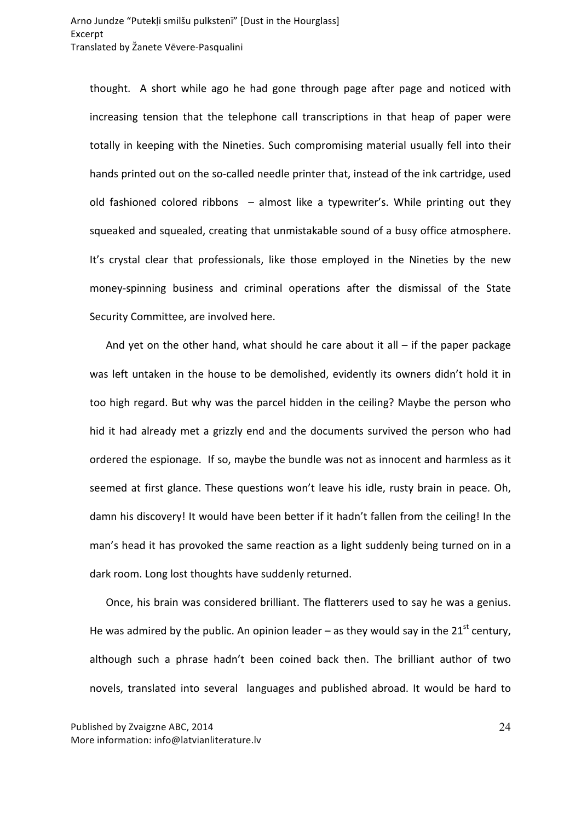thought. A short while ago he had gone through page after page and noticed with increasing tension that the telephone call transcriptions in that heap of paper were totally in keeping with the Nineties. Such compromising material usually fell into their hands printed out on the so-called needle printer that, instead of the ink cartridge, used old fashioned colored ribbons  $-$  almost like a typewriter's. While printing out they squeaked and squealed, creating that unmistakable sound of a busy office atmosphere. It's crystal clear that professionals, like those employed in the Nineties by the new money-spinning business and criminal operations after the dismissal of the State Security Committee, are involved here.

And yet on the other hand, what should he care about it all  $-$  if the paper package was left untaken in the house to be demolished, evidently its owners didn't hold it in too high regard. But why was the parcel hidden in the ceiling? Maybe the person who hid it had already met a grizzly end and the documents survived the person who had ordered the espionage. If so, maybe the bundle was not as innocent and harmless as it seemed at first glance. These questions won't leave his idle, rusty brain in peace. Oh, damn his discovery! It would have been better if it hadn't fallen from the ceiling! In the man's head it has provoked the same reaction as a light suddenly being turned on in a dark room. Long lost thoughts have suddenly returned.

Once, his brain was considered brilliant. The flatterers used to say he was a genius. He was admired by the public. An opinion leader – as they would say in the 21<sup>st</sup> century, although such a phrase hadn't been coined back then. The brilliant author of two novels, translated into several languages and published abroad. It would be hard to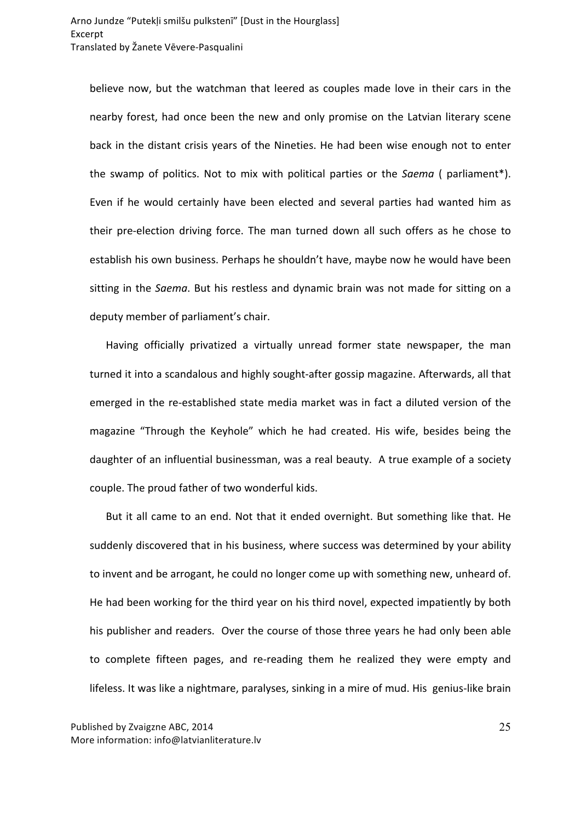believe now, but the watchman that leered as couples made love in their cars in the nearby forest, had once been the new and only promise on the Latvian literary scene back in the distant crisis years of the Nineties. He had been wise enough not to enter the swamp of politics. Not to mix with political parties or the *Saema* ( parliament<sup>\*</sup>). Even if he would certainly have been elected and several parties had wanted him as their pre-election driving force. The man turned down all such offers as he chose to establish his own business. Perhaps he shouldn't have, maybe now he would have been sitting in the *Saema*. But his restless and dynamic brain was not made for sitting on a deputy member of parliament's chair.

Having officially privatized a virtually unread former state newspaper, the man turned it into a scandalous and highly sought-after gossip magazine. Afterwards, all that emerged in the re-established state media market was in fact a diluted version of the magazine "Through the Keyhole" which he had created. His wife, besides being the daughter of an influential businessman, was a real beauty. A true example of a society couple. The proud father of two wonderful kids.

But it all came to an end. Not that it ended overnight. But something like that. He suddenly discovered that in his business, where success was determined by your ability to invent and be arrogant, he could no longer come up with something new, unheard of. He had been working for the third year on his third novel, expected impatiently by both his publisher and readers. Over the course of those three years he had only been able to complete fifteen pages, and re-reading them he realized they were empty and lifeless. It was like a nightmare, paralyses, sinking in a mire of mud. His genius-like brain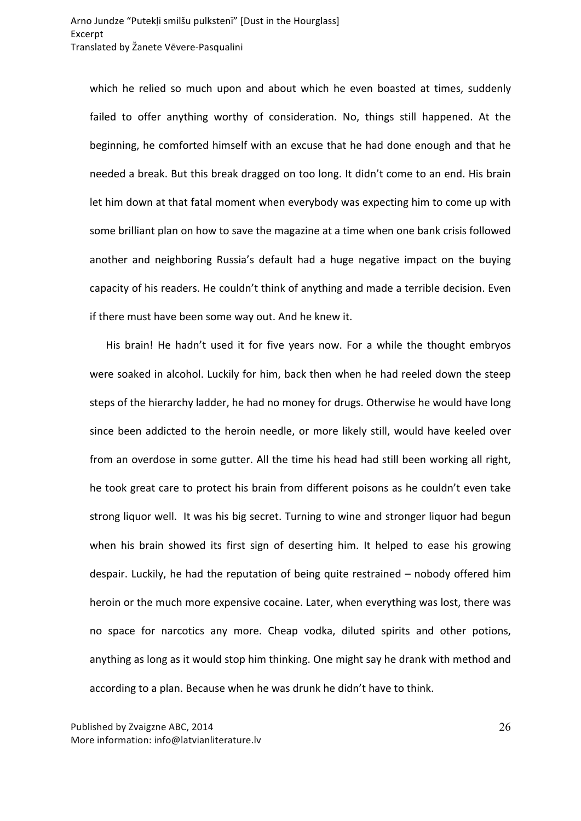which he relied so much upon and about which he even boasted at times, suddenly failed to offer anything worthy of consideration. No, things still happened. At the beginning, he comforted himself with an excuse that he had done enough and that he needed a break. But this break dragged on too long. It didn't come to an end. His brain let him down at that fatal moment when everybody was expecting him to come up with some brilliant plan on how to save the magazine at a time when one bank crisis followed another and neighboring Russia's default had a huge negative impact on the buying capacity of his readers. He couldn't think of anything and made a terrible decision. Even if there must have been some way out. And he knew it.

His brain! He hadn't used it for five years now. For a while the thought embryos were soaked in alcohol. Luckily for him, back then when he had reeled down the steep steps of the hierarchy ladder, he had no money for drugs. Otherwise he would have long since been addicted to the heroin needle, or more likely still, would have keeled over from an overdose in some gutter. All the time his head had still been working all right, he took great care to protect his brain from different poisons as he couldn't even take strong liquor well. It was his big secret. Turning to wine and stronger liquor had begun when his brain showed its first sign of deserting him. It helped to ease his growing despair. Luckily, he had the reputation of being quite restrained – nobody offered him heroin or the much more expensive cocaine. Later, when everything was lost, there was no space for narcotics any more. Cheap vodka, diluted spirits and other potions, anything as long as it would stop him thinking. One might say he drank with method and according to a plan. Because when he was drunk he didn't have to think.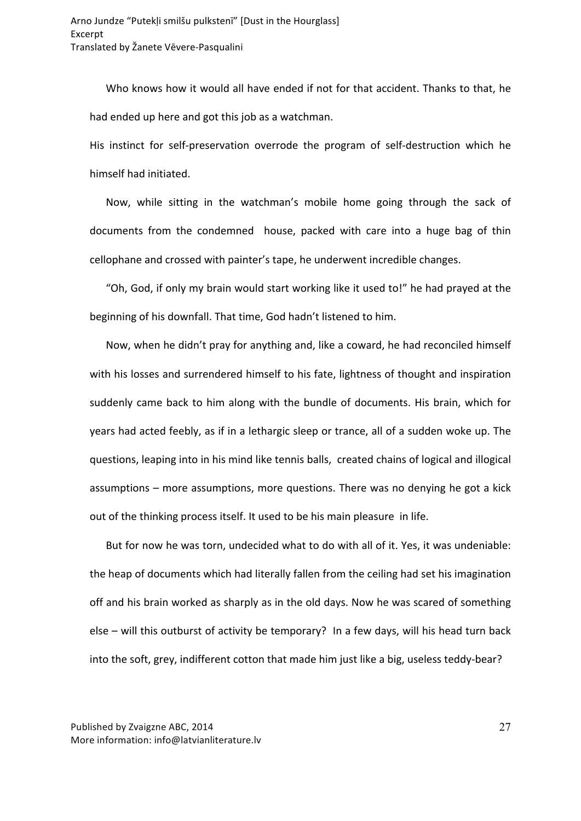Who knows how it would all have ended if not for that accident. Thanks to that, he had ended up here and got this job as a watchman.

His instinct for self-preservation overrode the program of self-destruction which he himself had initiated.

Now, while sitting in the watchman's mobile home going through the sack of documents from the condemned house, packed with care into a huge bag of thin cellophane and crossed with painter's tape, he underwent incredible changes.

"Oh, God, if only my brain would start working like it used to!" he had prayed at the beginning of his downfall. That time, God hadn't listened to him.

Now, when he didn't pray for anything and, like a coward, he had reconciled himself with his losses and surrendered himself to his fate, lightness of thought and inspiration suddenly came back to him along with the bundle of documents. His brain, which for years had acted feebly, as if in a lethargic sleep or trance, all of a sudden woke up. The questions, leaping into in his mind like tennis balls, created chains of logical and illogical assumptions  $-$  more assumptions, more questions. There was no denying he got a kick out of the thinking process itself. It used to be his main pleasure in life.

But for now he was torn, undecided what to do with all of it. Yes, it was undeniable: the heap of documents which had literally fallen from the ceiling had set his imagination off and his brain worked as sharply as in the old days. Now he was scared of something else – will this outburst of activity be temporary? In a few days, will his head turn back into the soft, grey, indifferent cotton that made him just like a big, useless teddy-bear?